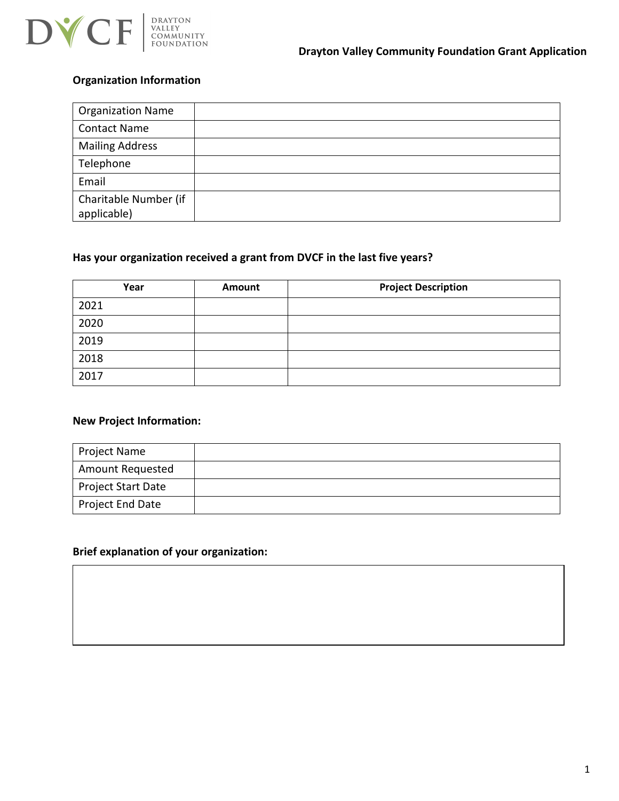

### **Organization Information**

| <b>Organization Name</b>             |  |
|--------------------------------------|--|
| <b>Contact Name</b>                  |  |
| <b>Mailing Address</b>               |  |
| Telephone                            |  |
| Email                                |  |
| Charitable Number (if<br>applicable) |  |

### **Has your organization received a grant from DVCF in the last five years?**

| Year | Amount | <b>Project Description</b> |
|------|--------|----------------------------|
| 2021 |        |                            |
| 2020 |        |                            |
| 2019 |        |                            |
| 2018 |        |                            |
| 2017 |        |                            |

#### **New Project Information:**

| Project Name            |  |
|-------------------------|--|
| <b>Amount Requested</b> |  |
| Project Start Date      |  |
| Project End Date        |  |

#### **Brief explanation of your organization:**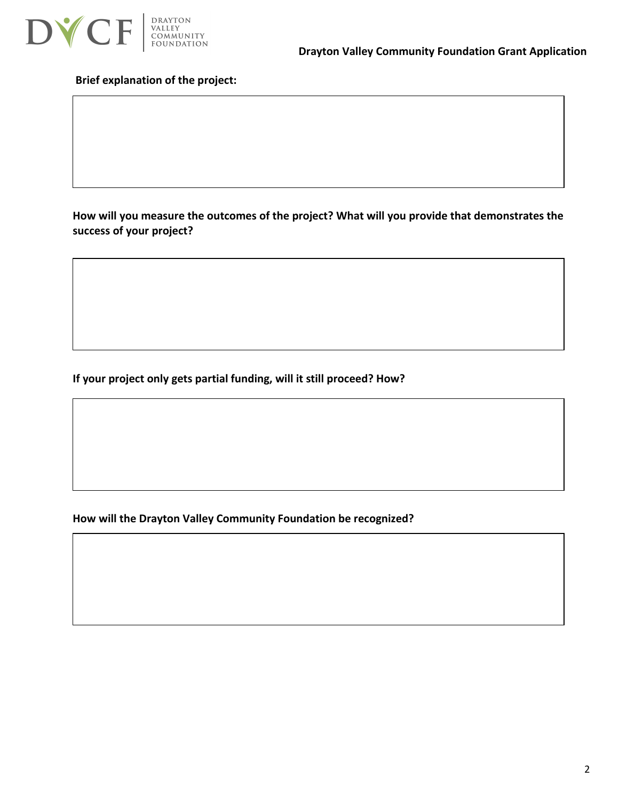

#### **Brief explanation of the project:**

**How will you measure the outcomes of the project? What will you provide that demonstrates the success of your project?**

**If your project only gets partial funding, will it still proceed? How?**

**How will the Drayton Valley Community Foundation be recognized?**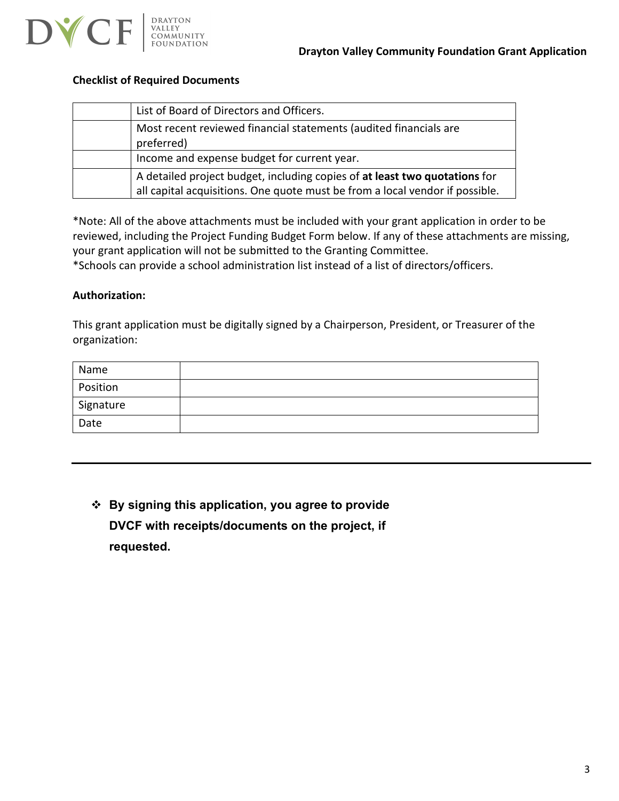



#### **Checklist of Required Documents**

| List of Board of Directors and Officers.                                                                                                                   |
|------------------------------------------------------------------------------------------------------------------------------------------------------------|
| Most recent reviewed financial statements (audited financials are<br>preferred)                                                                            |
| Income and expense budget for current year.                                                                                                                |
| A detailed project budget, including copies of at least two quotations for<br>all capital acquisitions. One quote must be from a local vendor if possible. |

\*Note: All of the above attachments must be included with your grant application in order to be reviewed, including the Project Funding Budget Form below. If any of these attachments are missing, your grant application will not be submitted to the Granting Committee.

\*Schools can provide a school administration list instead of a list of directors/officers.

#### **Authorization:**

This grant application must be digitally signed by a Chairperson, President, or Treasurer of the organization:

| Name                   |  |
|------------------------|--|
| Position               |  |
| <sup>'</sup> Signature |  |
| Date                   |  |

 **By signing this application, you agree to provide DVCF with receipts/documents on the project, if requested.**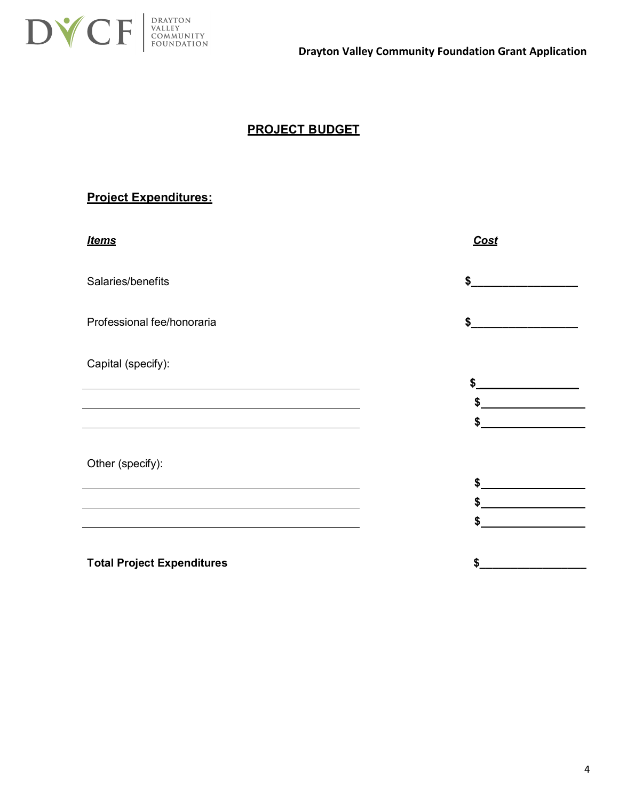

## **PROJECT BUDGET**

## **Project Expenditures:**

| <b>Items</b>                                                                                                                                                                                                                  | Cost                                                      |
|-------------------------------------------------------------------------------------------------------------------------------------------------------------------------------------------------------------------------------|-----------------------------------------------------------|
| Salaries/benefits                                                                                                                                                                                                             | \$                                                        |
| Professional fee/honoraria                                                                                                                                                                                                    | \$<br><u> 1980 - Johann Barbara, martin a</u>             |
| Capital (specify):                                                                                                                                                                                                            |                                                           |
| <u> 1989 - Johann Stoff, amerikansk politiker (* 1908)</u>                                                                                                                                                                    | <u> 1980 - Johann John Stone, markin sanadi bashkar (</u> |
| <u> 1989 - Johann Barbara, marka a shekara tsa 1989 - An tsa 1989 - An tsa 1989 - An tsa 1989 - An tsa 1989 - An</u>                                                                                                          | $\frac{1}{2}$                                             |
|                                                                                                                                                                                                                               | \$                                                        |
| Other (specify):                                                                                                                                                                                                              |                                                           |
| the control of the control of the control of the control of the control of the control of the control of the control of the control of the control of the control of the control of the control of the control of the control | $\frac{1}{2}$                                             |
|                                                                                                                                                                                                                               | $\frac{1}{2}$                                             |
|                                                                                                                                                                                                                               |                                                           |
| <b>Total Project Expenditures</b>                                                                                                                                                                                             | \$                                                        |